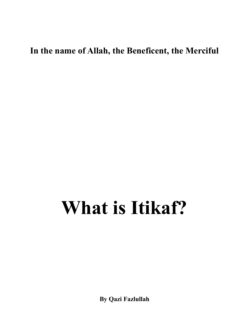**In the name of Allah, the Beneficent, the Merciful** 

## **What is Itikaf?**

**By Qazi Fazlullah**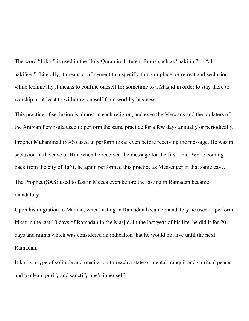The word "Itikaf" is used in the Holy Quran in different forms such as "aakifun" or "al aakifeen". Literally, it means confinement to a specific thing or place, or retreat and seclusion, while technically it means to confine oneself for sometime to a Masjid in order to stay there to worship or at least to withdraw oneself from worldly business.

This practice of seclusion is almost in each religion, and even the Meccans and the idolaters of the Arabian Peninsula used to perform the same practice for a few days annually or periodically. Prophet Muhammad (SAS) used to perform itikaf even before receiving the message. He was in seclusion in the cave of Hira when he received the message for the first time. While coming back from the city of Ta'if, he again performed this practice as Messenger in that same cave. The Prophet (SAS) used to fast in Mecca even before the fasting in Ramadan became mandatory.

Upon his migration to Madina, when fasting in Ramadan became mandatory he used to perform itikaf in the last 10 days of Ramadan in the Masjid. In the last year of his life, he did it for 20 days and nights which was considered an indication that he would not live until the next Ramadan.

Itikaf is a type of solitude and meditation to reach a state of mental tranquil and spiritual peace, and to clean, purify and sanctify one's inner self.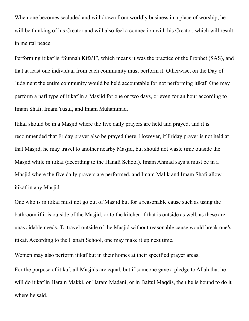When one becomes secluded and withdrawn from worldly business in a place of worship, he will be thinking of his Creator and will also feel a connection with his Creator, which will result in mental peace.

Performing itikaf is "Sunnah Kifa'I", which means it was the practice of the Prophet (SAS), and that at least one individual from each community must perform it. Otherwise, on the Day of Judgment the entire community would be held accountable for not performing itikaf. One may perform a nafl type of itikaf in a Masjid for one or two days, or even for an hour according to Imam Shafi, Imam Yusuf, and Imam Muhammad.

Itikaf should be in a Masjid where the five daily prayers are held and prayed, and it is recommended that Friday prayer also be prayed there. However, if Friday prayer is not held at that Masjid, he may travel to another nearby Masjid, but should not waste time outside the Masjid while in itikaf (according to the Hanafi School). Imam Ahmad says it must be in a Masjid where the five daily prayers are performed, and Imam Malik and Imam Shafi allow itikaf in any Masjid.

One who is in itikaf must not go out of Masjid but for a reasonable cause such as using the bathroom if it is outside of the Masjid, or to the kitchen if that is outside as well, as these are unavoidable needs. To travel outside of the Masjid without reasonable cause would break one's itikaf. According to the Hanafi School, one may make it up next time.

Women may also perform itikaf but in their homes at their specified prayer areas.

For the purpose of itikaf, all Masjids are equal, but if someone gave a pledge to Allah that he will do itikaf in Haram Makki, or Haram Madani, or in Baitul Maqdis, then he is bound to do it where he said.